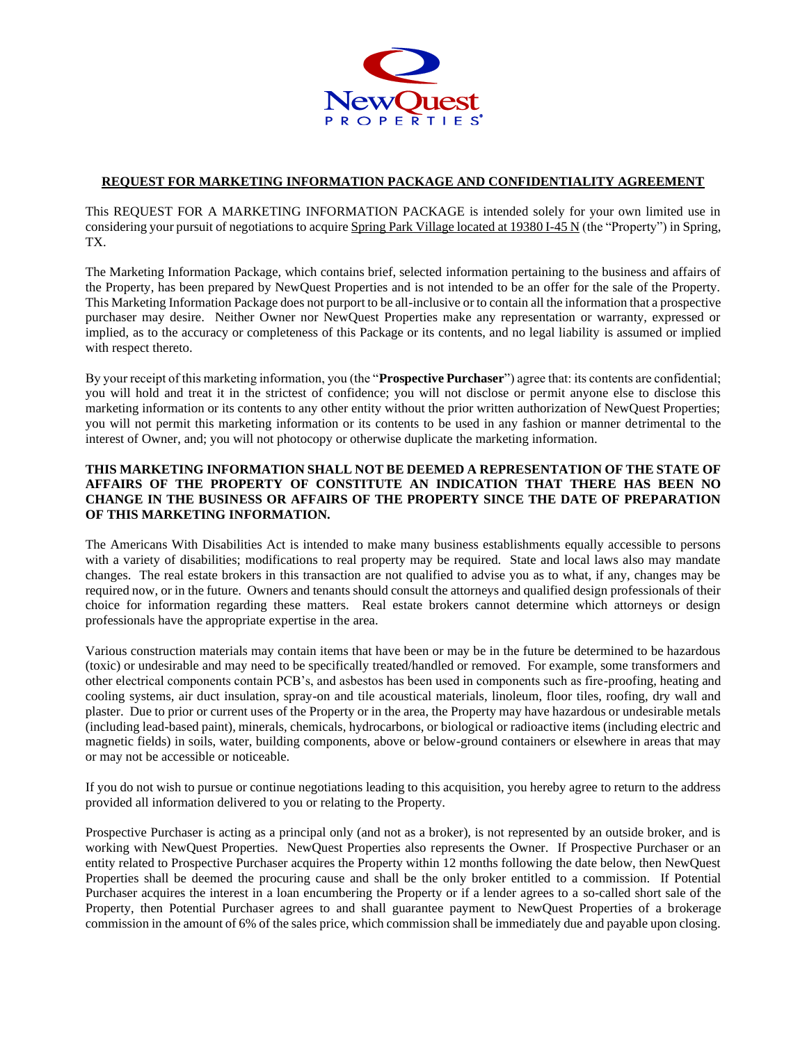

## **REQUEST FOR MARKETING INFORMATION PACKAGE AND CONFIDENTIALITY AGREEMENT**

This REQUEST FOR A MARKETING INFORMATION PACKAGE is intended solely for your own limited use in considering your pursuit of negotiations to acquire Spring Park Village located at 19380 I-45 N (the "Property") in Spring, TX.

The Marketing Information Package, which contains brief, selected information pertaining to the business and affairs of the Property, has been prepared by NewQuest Properties and is not intended to be an offer for the sale of the Property. This Marketing Information Package does not purport to be all-inclusive or to contain all the information that a prospective purchaser may desire. Neither Owner nor NewQuest Properties make any representation or warranty, expressed or implied, as to the accuracy or completeness of this Package or its contents, and no legal liability is assumed or implied with respect thereto.

By your receipt of this marketing information, you (the "**Prospective Purchaser**") agree that: its contents are confidential; you will hold and treat it in the strictest of confidence; you will not disclose or permit anyone else to disclose this marketing information or its contents to any other entity without the prior written authorization of NewQuest Properties; you will not permit this marketing information or its contents to be used in any fashion or manner detrimental to the interest of Owner, and; you will not photocopy or otherwise duplicate the marketing information.

## **THIS MARKETING INFORMATION SHALL NOT BE DEEMED A REPRESENTATION OF THE STATE OF AFFAIRS OF THE PROPERTY OF CONSTITUTE AN INDICATION THAT THERE HAS BEEN NO CHANGE IN THE BUSINESS OR AFFAIRS OF THE PROPERTY SINCE THE DATE OF PREPARATION OF THIS MARKETING INFORMATION.**

The Americans With Disabilities Act is intended to make many business establishments equally accessible to persons with a variety of disabilities; modifications to real property may be required. State and local laws also may mandate changes. The real estate brokers in this transaction are not qualified to advise you as to what, if any, changes may be required now, or in the future. Owners and tenants should consult the attorneys and qualified design professionals of their choice for information regarding these matters. Real estate brokers cannot determine which attorneys or design professionals have the appropriate expertise in the area.

Various construction materials may contain items that have been or may be in the future be determined to be hazardous (toxic) or undesirable and may need to be specifically treated/handled or removed. For example, some transformers and other electrical components contain PCB's, and asbestos has been used in components such as fire-proofing, heating and cooling systems, air duct insulation, spray-on and tile acoustical materials, linoleum, floor tiles, roofing, dry wall and plaster. Due to prior or current uses of the Property or in the area, the Property may have hazardous or undesirable metals (including lead-based paint), minerals, chemicals, hydrocarbons, or biological or radioactive items (including electric and magnetic fields) in soils, water, building components, above or below-ground containers or elsewhere in areas that may or may not be accessible or noticeable.

If you do not wish to pursue or continue negotiations leading to this acquisition, you hereby agree to return to the address provided all information delivered to you or relating to the Property.

Prospective Purchaser is acting as a principal only (and not as a broker), is not represented by an outside broker, and is working with NewQuest Properties. NewQuest Properties also represents the Owner. If Prospective Purchaser or an entity related to Prospective Purchaser acquires the Property within 12 months following the date below, then NewQuest Properties shall be deemed the procuring cause and shall be the only broker entitled to a commission. If Potential Purchaser acquires the interest in a loan encumbering the Property or if a lender agrees to a so-called short sale of the Property, then Potential Purchaser agrees to and shall guarantee payment to NewQuest Properties of a brokerage commission in the amount of 6% of the sales price, which commission shall be immediately due and payable upon closing.